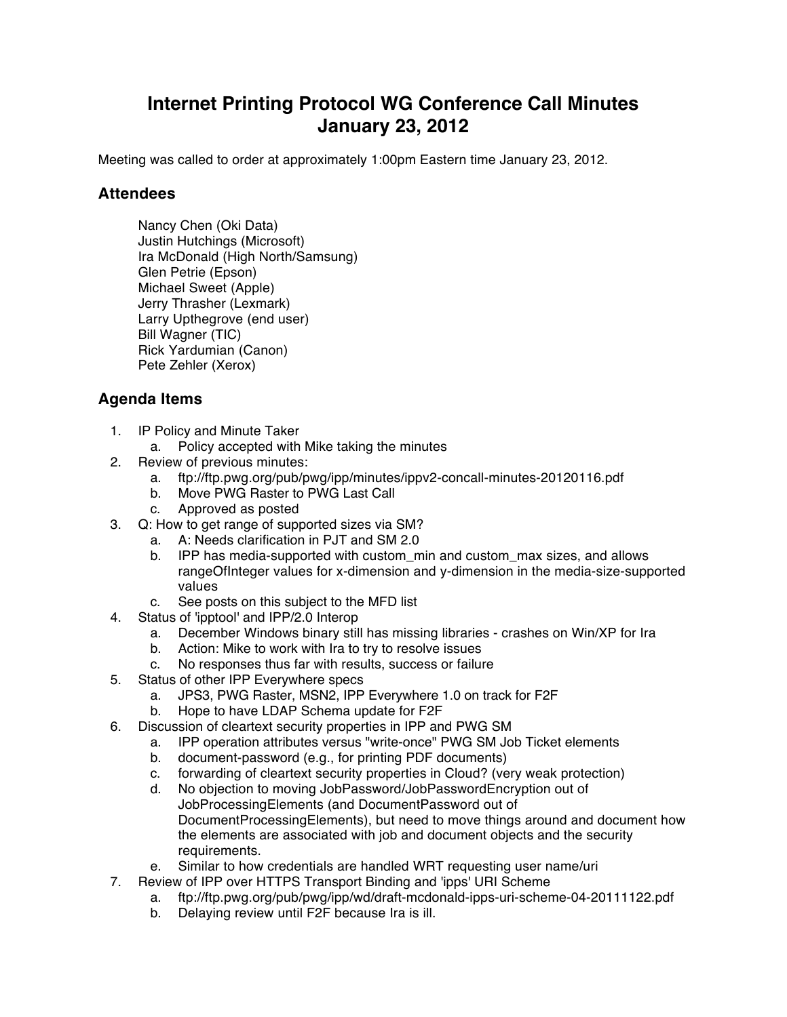## **Internet Printing Protocol WG Conference Call Minutes January 23, 2012**

Meeting was called to order at approximately 1:00pm Eastern time January 23, 2012.

## **Attendees**

Nancy Chen (Oki Data) Justin Hutchings (Microsoft) Ira McDonald (High North/Samsung) Glen Petrie (Epson) Michael Sweet (Apple) Jerry Thrasher (Lexmark) Larry Upthegrove (end user) Bill Wagner (TIC) Rick Yardumian (Canon) Pete Zehler (Xerox)

## **Agenda Items**

- 1. IP Policy and Minute Taker
	- a. Policy accepted with Mike taking the minutes
- 2. Review of previous minutes:
	- a. ftp://ftp.pwg.org/pub/pwg/ipp/minutes/ippv2-concall-minutes-20120116.pdf
	- b. Move PWG Raster to PWG Last Call
	- c. Approved as posted
- 3. Q: How to get range of supported sizes via SM?
	- a. A: Needs clarification in PJT and SM 2.0
	- b. IPP has media-supported with custom\_min and custom\_max sizes, and allows rangeOfInteger values for x-dimension and y-dimension in the media-size-supported values
	- c. See posts on this subject to the MFD list
- 4. Status of 'ipptool' and IPP/2.0 Interop
	- a. December Windows binary still has missing libraries crashes on Win/XP for Ira
	- b. Action: Mike to work with Ira to try to resolve issues
	- c. No responses thus far with results, success or failure
- 5. Status of other IPP Everywhere specs
	- a. JPS3, PWG Raster, MSN2, IPP Everywhere 1.0 on track for F2F
	- b. Hope to have LDAP Schema update for F2F
- 6. Discussion of cleartext security properties in IPP and PWG SM
	- a. IPP operation attributes versus "write-once" PWG SM Job Ticket elements
	- b. document-password (e.g., for printing PDF documents)
	- c. forwarding of cleartext security properties in Cloud? (very weak protection)
	- d. No objection to moving JobPassword/JobPasswordEncryption out of JobProcessingElements (and DocumentPassword out of DocumentProcessingElements), but need to move things around and document how the elements are associated with job and document objects and the security requirements.
	- e. Similar to how credentials are handled WRT requesting user name/uri
- 7. Review of IPP over HTTPS Transport Binding and 'ipps' URI Scheme
	- a. ftp://ftp.pwg.org/pub/pwg/ipp/wd/draft-mcdonald-ipps-uri-scheme-04-20111122.pdf
	- b. Delaying review until F2F because Ira is ill.